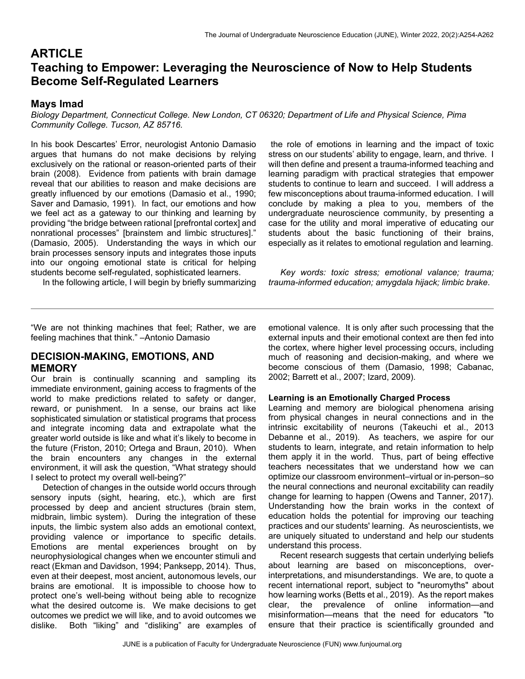## **ARTICLE Teaching to Empower: Leveraging the Neuroscience of Now to Help Students Become Self-Regulated Learners**

### **Mays Imad**

*Biology Department, Connecticut College. New London, CT 06320; Department of Life and Physical Science, Pima Community College. Tucson, AZ 85716.* 

In his book Descartes' Error, neurologist Antonio Damasio argues that humans do not make decisions by relying exclusively on the rational or reason-oriented parts of their brain (2008). Evidence from patients with brain damage reveal that our abilities to reason and make decisions are greatly influenced by our emotions (Damasio et al., 1990; Saver and Damasio, 1991). In fact, our emotions and how we feel act as a gateway to our thinking and learning by providing "the bridge between rational [prefrontal cortex] and nonrational processes" [brainstem and limbic structures]." (Damasio, 2005). Understanding the ways in which our brain processes sensory inputs and integrates those inputs into our ongoing emotional state is critical for helping students become self-regulated, sophisticated learners.

In the following article, I will begin by briefly summarizing

 the role of emotions in learning and the impact of toxic stress on our students' ability to engage, learn, and thrive. I will then define and present a trauma-informed teaching and learning paradigm with practical strategies that empower students to continue to learn and succeed. I will address a few misconceptions about trauma-informed education. I will conclude by making a plea to you, members of the undergraduate neuroscience community, by presenting a case for the utility and moral imperative of educating our students about the basic functioning of their brains, especially as it relates to emotional regulation and learning.

 *Key words: toxic stress; emotional valance; trauma; trauma-informed education; amygdala hijack; limbic brake*.

"We are not thinking machines that feel; Rather, we are feeling machines that think." –Antonio Damasio

## **DECISION-MAKING, EMOTIONS, AND MEMORY**

Our brain is continually scanning and sampling its immediate environment, gaining access to fragments of the world to make predictions related to safety or danger, reward, or punishment. In a sense, our brains act like sophisticated simulation or statistical programs that process and integrate incoming data and extrapolate what the greater world outside is like and what it's likely to become in the future (Friston, 2010; Ortega and Braun, 2010). When the brain encounters any changes in the external environment, it will ask the question, "What strategy should I select to protect my overall well-being?"

 Detection of changes in the outside world occurs through sensory inputs (sight, hearing, etc.), which are first processed by deep and ancient structures (brain stem, midbrain, limbic system). During the integration of these inputs, the limbic system also adds an emotional context, providing valence or importance to specific details. Emotions are mental experiences brought on by neurophysiological changes when we encounter stimuli and react (Ekman and Davidson, 1994; Panksepp, 2014). Thus, even at their deepest, most ancient, autonomous levels, our brains are emotional. It is impossible to choose how to protect one's well-being without being able to recognize what the desired outcome is. We make decisions to get outcomes we predict we will like, and to avoid outcomes we dislike. Both "liking" and "disliking" are examples of emotional valence. It is only after such processing that the external inputs and their emotional context are then fed into the cortex, where higher level processing occurs, including much of reasoning and decision-making, and where we become conscious of them (Damasio, 1998; Cabanac, 2002; Barrett et al., 2007; Izard, 2009).

#### **Learning is an Emotionally Charged Process**

Learning and memory are biological phenomena arising from physical changes in neural connections and in the intrinsic excitability of neurons (Takeuchi et al., 2013 Debanne et al., 2019). As teachers, we aspire for our students to learn, integrate, and retain information to help them apply it in the world. Thus, part of being effective teachers necessitates that we understand how we can optimize our classroom environment–virtual or in-person–so the neural connections and neuronal excitability can readily change for learning to happen (Owens and Tanner, 2017). Understanding how the brain works in the context of education holds the potential for improving our teaching practices and our students' learning. As neuroscientists, we are uniquely situated to understand and help our students understand this process.

 Recent research suggests that certain underlying beliefs about learning are based on misconceptions, overinterpretations, and misunderstandings. We are, to quote a recent international report, subject to "neuromyths" about how learning works (Betts et al., 2019). As the report makes clear, the prevalence of online information—and misinformation—means that the need for educators "to ensure that their practice is scientifically grounded and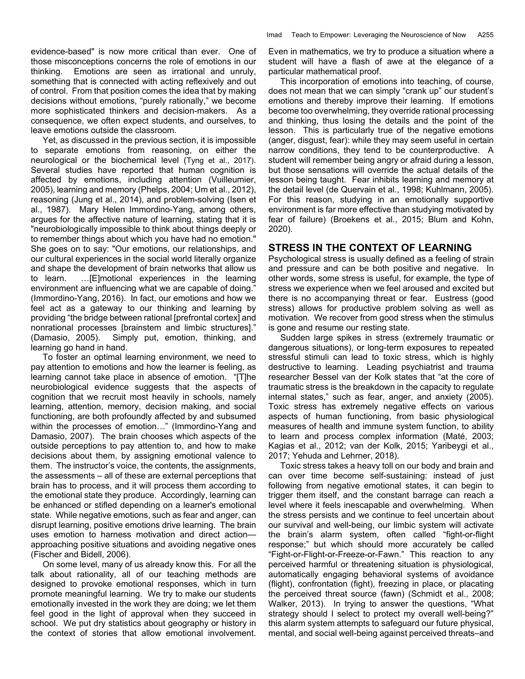evidence-based" is now more critical than ever. One of those misconceptions concerns the role of emotions in our thinking. Emotions are seen as irrational and unruly, something that is connected with acting reflexively and out of control. From that position comes the idea that by making decisions without emotions, "purely rationally," we become more sophisticated thinkers and decision-makers. As a consequence, we often expect students, and ourselves, to leave emotions outside the classroom.

 Yet, as discussed in the previous section, it is impossible to separate emotions from reasoning, on either the neurological or the biochemical level (Tyng et al., 2017). Several studies have reported that human cognition is affected by emotions, including attention (Vuilleumier, 2005), learning and memory (Phelps, 2004; Um et al., 2012), reasoning (Jung et al., 2014), and problem-solving (Isen et al., 1987). Mary Helen Immordino-Yang, among others, argues for the affective nature of learning, stating that it is "neurobiologically impossible to think about things deeply or to remember things about which you have had no emotion." She goes on to say: "Our emotions, our relationships, and our cultural experiences in the social world literally organize and shape the development of brain networks that allow us to learn. …[E]motional experiences in the learning environment are influencing what we are capable of doing." (Immordino-Yang, 2016). In fact, our emotions and how we feel act as a gateway to our thinking and learning by providing "the bridge between rational [prefrontal cortex] and nonrational processes [brainstem and limbic structures]." (Damasio, 2005). Simply put, emotion, thinking, and learning go hand in hand.

 To foster an optimal learning environment, we need to pay attention to emotions and how the learner is feeling, as learning cannot take place in absence of emotion. "[T]he neurobiological evidence suggests that the aspects of cognition that we recruit most heavily in schools, namely learning, attention, memory, decision making, and social functioning, are both profoundly affected by and subsumed within the processes of emotion…" (Immordino-Yang and Damasio, 2007). The brain chooses which aspects of the outside perceptions to pay attention to, and how to make decisions about them, by assigning emotional valence to them. The instructor's voice, the contents, the assignments, the assessments – all of these are external perceptions that brain has to process, and it will process them according to the emotional state they produce. Accordingly, learning can be enhanced or stifled depending on a learner's emotional state. While negative emotions, such as fear and anger, can disrupt learning, positive emotions drive learning. The brain uses emotion to harness motivation and direct action approaching positive situations and avoiding negative ones (Fischer and Bidell, 2006).

 On some level, many of us already know this. For all the talk about rationality, all of our teaching methods are designed to provoke emotional responses, which in turn promote meaningful learning. We try to make our students emotionally invested in the work they are doing; we let them feel good in the light of approval when they succeed in school. We put dry statistics about geography or history in the context of stories that allow emotional involvement.

Even in mathematics, we try to produce a situation where a student will have a flash of awe at the elegance of a particular mathematical proof.

 This incorporation of emotions into teaching, of course, does not mean that we can simply "crank up" our student's emotions and thereby improve their learning. If emotions become too overwhelming, they override rational processing and thinking, thus losing the details and the point of the lesson. This is particularly true of the negative emotions (anger, disgust, fear): while they may seem useful in certain narrow conditions, they tend to be counterproductive. A student will remember being angry or afraid during a lesson, but those sensations will override the actual details of the lesson being taught. Fear inhibits learning and memory at the detail level (de Quervain et al., 1998; Kuhlmann, 2005). For this reason, studying in an emotionally supportive environment is far more effective than studying motivated by fear of failure) (Broekens et al., 2015; Blum and Kohn, 2020).

#### **STRESS IN THE CONTEXT OF LEARNING**

Psychological stress is usually defined as a feeling of strain and pressure and can be both positive and negative. In other words, some stress is useful, for example, the type of stress we experience when we feel aroused and excited but there is no accompanying threat or fear. Eustress (good stress) allows for productive problem solving as well as motivation. We recover from good stress when the stimulus is gone and resume our resting state.

 Sudden large spikes in stress (extremely traumatic or dangerous situations), or long-term exposures to repeated stressful stimuli can lead to toxic stress, which is highly destructive to learning. Leading psychiatrist and trauma researcher Bessel van der Kolk states that "at the core of traumatic stress is the breakdown in the capacity to regulate internal states," such as fear, anger, and anxiety (2005). Toxic stress has extremely negative effects on various aspects of human functioning, from basic physiological measures of health and immune system function, to ability to learn and process complex information (Maté, 2003; Kagias et al., 2012; van der Kolk, 2015; Yaribeygi et al., 2017; Yehuda and Lehrner, 2018).

 Toxic stress takes a heavy toll on our body and brain and can over time become self-sustaining: instead of just following from negative emotional states, it can begin to trigger them itself, and the constant barrage can reach a level where it feels inescapable and overwhelming. When the stress persists and we continue to feel uncertain about our survival and well-being, our limbic system will activate the brain's alarm system, often called "fight-or-flight response;" but which should more accurately be called "Fight-or-Flight-or-Freeze-or-Fawn." This reaction to any perceived harmful or threatening situation is physiological, automatically engaging behavioral systems of avoidance (flight), confrontation (fight), freezing in place, or placating the perceived threat source (fawn) (Schmidt et al., 2008; Walker, 2013). In trying to answer the questions, "What strategy should I select to protect my overall well-being?" this alarm system attempts to safeguard our future physical, mental, and social well-being against perceived threats–and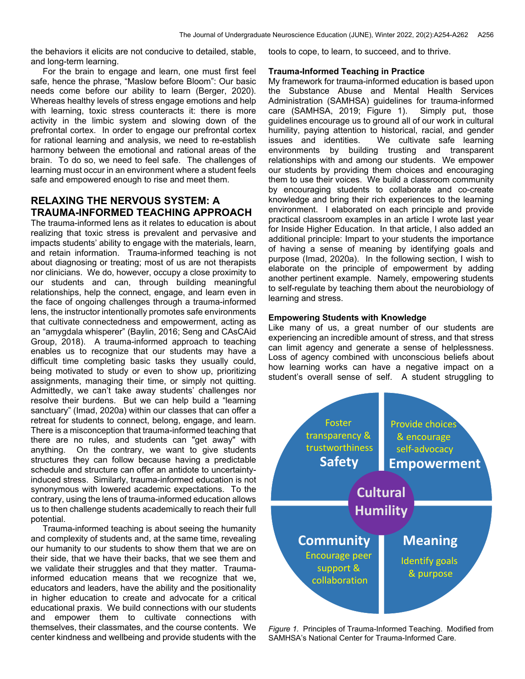the behaviors it elicits are not conducive to detailed, stable, and long-term learning.

 For the brain to engage and learn, one must first feel safe, hence the phrase, "Maslow before Bloom": Our basic needs come before our ability to learn (Berger, 2020). Whereas healthy levels of stress engage emotions and help with learning, toxic stress counteracts it: there is more activity in the limbic system and slowing down of the prefrontal cortex. In order to engage our prefrontal cortex for rational learning and analysis, we need to re-establish harmony between the emotional and rational areas of the brain. To do so, we need to feel safe. The challenges of learning must occur in an environment where a student feels safe and empowered enough to rise and meet them.

## **RELAXING THE NERVOUS SYSTEM: A TRAUMA-INFORMED TEACHING APPROACH**

The trauma-informed lens as it relates to education is about realizing that toxic stress is prevalent and pervasive and impacts students' ability to engage with the materials, learn, and retain information. Trauma-informed teaching is not about diagnosing or treating; most of us are not therapists nor clinicians. We do, however, occupy a close proximity to our students and can, through building meaningful relationships, help the connect, engage, and learn even in the face of ongoing challenges through a trauma-informed lens, the instructor intentionally promotes safe environments that cultivate connectedness and empowerment, acting as an "amygdala whisperer" (Baylin, 2016; Seng and CAsCAid Group, 2018). A trauma-informed approach to teaching enables us to recognize that our students may have a difficult time completing basic tasks they usually could, being motivated to study or even to show up, prioritizing assignments, managing their time, or simply not quitting. Admittedly, we can't take away students' challenges nor resolve their burdens. But we can help build a "learning sanctuary" (Imad, 2020a) within our classes that can offer a retreat for students to connect, belong, engage, and learn. There is a misconception that trauma-informed teaching that there are no rules, and students can "get away" with anything. On the contrary, we want to give students structures they can follow because having a predictable schedule and structure can offer an antidote to uncertaintyinduced stress. Similarly, trauma-informed education is not synonymous with lowered academic expectations. To the contrary, using the lens of trauma-informed education allows us to then challenge students academically to reach their full potential.

 Trauma-informed teaching is about seeing the humanity and complexity of students and, at the same time, revealing our humanity to our students to show them that we are on their side, that we have their backs, that we see them and we validate their struggles and that they matter. Traumainformed education means that we recognize that we, educators and leaders, have the ability and the positionality in higher education to create and advocate for a critical educational praxis. We build connections with our students and empower them to cultivate connections with themselves, their classmates, and the course contents. We center kindness and wellbeing and provide students with the tools to cope, to learn, to succeed, and to thrive.

#### **Trauma-Informed Teaching in Practice**

My framework for trauma-informed education is based upon the Substance Abuse and Mental Health Services Administration (SAMHSA) guidelines for trauma-informed care (SAMHSA, 2019; Figure 1). Simply put, those guidelines encourage us to ground all of our work in cultural humility, paying attention to historical, racial, and gender issues and identities. We cultivate safe learning environments by building trusting and transparent relationships with and among our students. We empower our students by providing them choices and encouraging them to use their voices. We build a classroom community by encouraging students to collaborate and co-create knowledge and bring their rich experiences to the learning environment. I elaborated on each principle and provide practical classroom examples in an article I wrote last year for Inside Higher Education. In that article, I also added an additional principle: Impart to your students the importance of having a sense of meaning by identifying goals and purpose (Imad, 2020a). In the following section, I wish to elaborate on the principle of empowerment by adding another pertinent example. Namely, empowering students to self-regulate by teaching them about the neurobiology of learning and stress.

#### **Empowering Students with Knowledge**

Like many of us, a great number of our students are experiencing an incredible amount of stress, and that stress can limit agency and generate a sense of helplessness. Loss of agency combined with unconscious beliefs about how learning works can have a negative impact on a student's overall sense of self. A student struggling to



*Figure 1.* Principles of Trauma-Informed Teaching. Modified from SAMHSA's National Center for Trauma-Informed Care.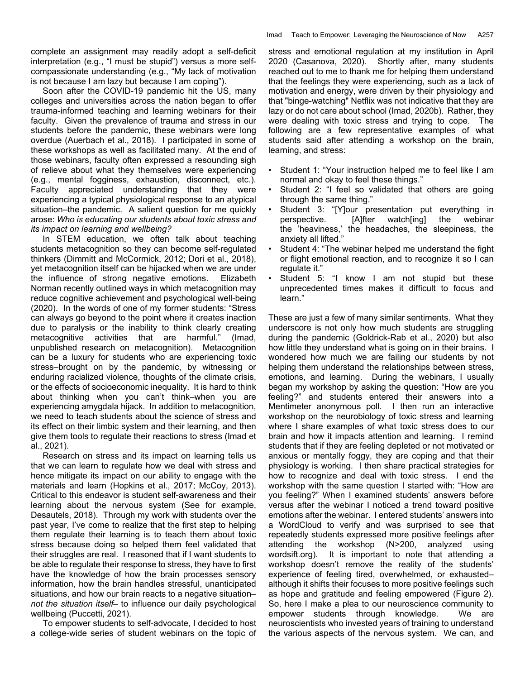is not because I am lazy but because I am coping"). Soon after the COVID-19 pandemic hit the US, many colleges and universities across the nation began to offer trauma-informed teaching and learning webinars for their faculty. Given the prevalence of trauma and stress in our students before the pandemic, these webinars were long overdue (Auerbach et al., 2018). I participated in some of these workshops as well as facilitated many. At the end of those webinars, faculty often expressed a resounding sigh of relieve about what they themselves were experiencing (e.g., mental fogginess, exhaustion, disconnect, etc.). Faculty appreciated understanding that they were experiencing a typical physiological response to an atypical situation–the pandemic. A salient question for me quickly arose: *Who is educating our students about toxic stress and its impact on learning and wellbeing?*

 In STEM education, we often talk about teaching students metacognition so they can become self-regulated thinkers (Dimmitt and McCormick, 2012; Dori et al., 2018), yet metacognition itself can be hijacked when we are under the influence of strong negative emotions. Elizabeth Norman recently outlined ways in which metacognition may reduce cognitive achievement and psychological well-being (2020). In the words of one of my former students: "Stress can always go beyond to the point where it creates inaction due to paralysis or the inability to think clearly creating metacognitive activities that are harmful." (Imad, unpublished research on metacognition). Metacognition can be a luxury for students who are experiencing toxic stress–brought on by the pandemic, by witnessing or enduring racialized violence, thoughts of the climate crisis, or the effects of socioeconomic inequality. It is hard to think about thinking when you can't think–when you are experiencing amygdala hijack. In addition to metacognition, we need to teach students about the science of stress and its effect on their limbic system and their learning, and then give them tools to regulate their reactions to stress (Imad et al., 2021).

 Research on stress and its impact on learning tells us that we can learn to regulate how we deal with stress and hence mitigate its impact on our ability to engage with the materials and learn (Hopkins et al., 2017; McCoy, 2013). Critical to this endeavor is student self-awareness and their learning about the nervous system (See for example, Desautels, 2018). Through my work with students over the past year, I've come to realize that the first step to helping them regulate their learning is to teach them about toxic stress because doing so helped them feel validated that their struggles are real. I reasoned that if I want students to be able to regulate their response to stress, they have to first have the knowledge of how the brain processes sensory information, how the brain handles stressful, unanticipated situations, and how our brain reacts to a negative situation– *not the situation itself*– to influence our daily psychological wellbeing (Puccetti, 2021).

 To empower students to self-advocate, I decided to host a college-wide series of student webinars on the topic of stress and emotional regulation at my institution in April 2020 (Casanova, 2020). Shortly after, many students reached out to me to thank me for helping them understand that the feelings they were experiencing, such as a lack of motivation and energy, were driven by their physiology and that "binge-watching" Netflix was not indicative that they are lazy or do not care about school (Imad, 2020b). Rather, they were dealing with toxic stress and trying to cope. The following are a few representative examples of what students said after attending a workshop on the brain, learning, and stress:

- Student 1: "Your instruction helped me to feel like I am normal and okay to feel these things."
- Student 2: "I feel so validated that others are going through the same thing."
- Student 3: "[Y]our presentation put everything in perspective. [A]fter watch[ing] the webinar the 'heaviness,' the headaches, the sleepiness, the anxiety all lifted."
- Student 4: "The webinar helped me understand the fight or flight emotional reaction, and to recognize it so I can regulate it."
- Student 5: "I know I am not stupid but these unprecedented times makes it difficult to focus and learn."

These are just a few of many similar sentiments. What they underscore is not only how much students are struggling during the pandemic (Goldrick-Rab et al., 2020) but also how little they understand what is going on in their brains. I wondered how much we are failing our students by not helping them understand the relationships between stress, emotions, and learning. During the webinars, I usually began my workshop by asking the question: "How are you feeling?" and students entered their answers into a Mentimeter anonymous poll. I then run an interactive workshop on the neurobiology of toxic stress and learning where I share examples of what toxic stress does to our brain and how it impacts attention and learning. I remind students that if they are feeling depleted or not motivated or anxious or mentally foggy, they are coping and that their physiology is working. I then share practical strategies for how to recognize and deal with toxic stress. I end the workshop with the same question I started with: "How are you feeling?" When I examined students' answers before versus after the webinar I noticed a trend toward positive emotions after the webinar. I entered students' answers into a WordCloud to verify and was surprised to see that repeatedly students expressed more positive feelings after attending the workshop (N>200, analyzed using wordsift.org). It is important to note that attending a workshop doesn't remove the reality of the students' experience of feeling tired, overwhelmed, or exhausted– although it shifts their focuses to more positive feelings such as hope and gratitude and feeling empowered (Figure 2). So, here I make a plea to our neuroscience community to empower students through knowledge. We are neuroscientists who invested years of training to understand the various aspects of the nervous system. We can, and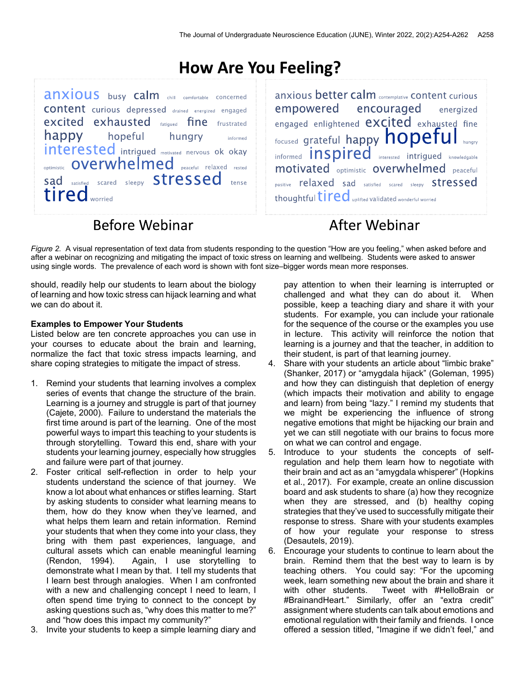# **How Are You Feeling?**

anxious busy calm chill comfortable concerned **CONTENT** curious depressed drained energized engaged **excited exhausted** *fatigued* **fine** frustrated happy hopeful hungry informed interested intrigued motivated nervous ok okay optimistic **OVerwhelmed** peaceful relaxed rested Sad satisfied scared sleepy Stressed tired worried

anxious better calm contemplative content curious empowered encouraged energized engaged enlightened **excited** exhausted fine Focused grateful happy **hopeful** informed **inSpired** interested intrigued knowledgable motivated optimistic overwhelmed peaceful positive relaxed sad satisfied scared sleepy **Stressed** thoughtful tired uplifted validated wonderful worried

## **Before Webinar**

# **After Webinar**

*Figure 2.* A visual representation of text data from students responding to the question "How are you feeling," when asked before and after a webinar on recognizing and mitigating the impact of toxic stress on learning and wellbeing. Students were asked to answer using single words. The prevalence of each word is shown with font size–bigger words mean more responses.

should, readily help our students to learn about the biology of learning and how toxic stress can hijack learning and what we can do about it.

### **Examples to Empower Your Students**

Listed below are ten concrete approaches you can use in your courses to educate about the brain and learning, normalize the fact that toxic stress impacts learning, and share coping strategies to mitigate the impact of stress.

- 1. Remind your students that learning involves a complex series of events that change the structure of the brain. Learning is a journey and struggle is part of that journey (Cajete, 2000). Failure to understand the materials the first time around is part of the learning. One of the most powerful ways to impart this teaching to your students is through storytelling. Toward this end, share with your students your learning journey, especially how struggles and failure were part of that journey.
- 2. Foster critical self-reflection in order to help your students understand the science of that journey. We know a lot about what enhances or stifles learning. Start by asking students to consider what learning means to them, how do they know when they've learned, and what helps them learn and retain information. Remind your students that when they come into your class, they bring with them past experiences, language, and cultural assets which can enable meaningful learning (Rendon, 1994). Again, I use storytelling to demonstrate what I mean by that. I tell my students that I learn best through analogies. When I am confronted with a new and challenging concept I need to learn, I often spend time trying to connect to the concept by asking questions such as, "why does this matter to me?" and "how does this impact my community?"
- 3. Invite your students to keep a simple learning diary and

pay attention to when their learning is interrupted or challenged and what they can do about it. When possible, keep a teaching diary and share it with your students. For example, you can include your rationale for the sequence of the course or the examples you use in lecture. This activity will reinforce the notion that learning is a journey and that the teacher, in addition to their student, is part of that learning journey.

- 4. Share with your students an article about "limbic brake" (Shanker, 2017) or "amygdala hijack" (Goleman, 1995) and how they can distinguish that depletion of energy (which impacts their motivation and ability to engage and learn) from being "lazy." I remind my students that we might be experiencing the influence of strong negative emotions that might be hijacking our brain and yet we can still negotiate with our brains to focus more on what we can control and engage.
- 5. Introduce to your students the concepts of selfregulation and help them learn how to negotiate with their brain and act as an "amygdala whisperer" (Hopkins et al., 2017). For example, create an online discussion board and ask students to share (a) how they recognize when they are stressed, and (b) healthy coping strategies that they've used to successfully mitigate their response to stress. Share with your students examples of how your regulate your response to stress (Desautels, 2019).
- 6. Encourage your students to continue to learn about the brain. Remind them that the best way to learn is by teaching others. You could say: "For the upcoming week, learn something new about the brain and share it with other students. Tweet with #HelloBrain or #BrainandHeart." Similarly, offer an "extra credit" assignment where students can talk about emotions and emotional regulation with their family and friends. I once offered a session titled, "Imagine if we didn't feel," and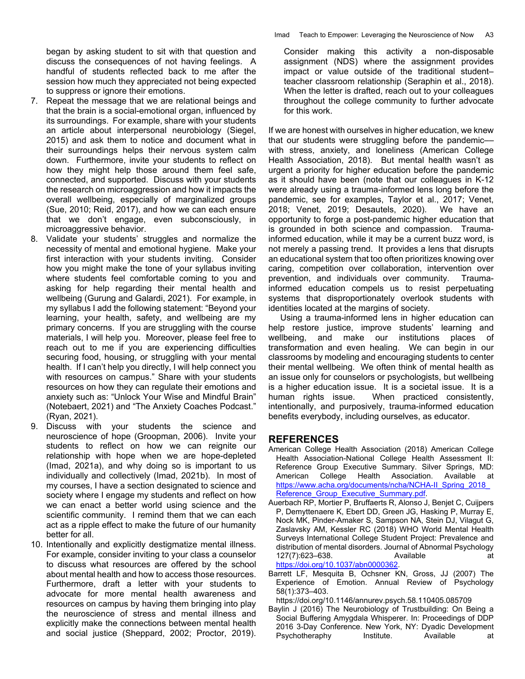began by asking student to sit with that question and discuss the consequences of not having feelings. A handful of students reflected back to me after the session how much they appreciated not being expected to suppress or ignore their emotions.

- 7. Repeat the message that we are relational beings and that the brain is a social-emotional organ, influenced by its surroundings. For example, share with your students an article about interpersonal neurobiology (Siegel, 2015) and ask them to notice and document what in their surroundings helps their nervous system calm down. Furthermore, invite your students to reflect on how they might help those around them feel safe, connected, and supported. Discuss with your students the research on microaggression and how it impacts the overall wellbeing, especially of marginalized groups (Sue, 2010; Reid, 2017), and how we can each ensure that we don't engage, even subconsciously, in microaggressive behavior.
- 8. Validate your students' struggles and normalize the necessity of mental and emotional hygiene. Make your first interaction with your students inviting. Consider how you might make the tone of your syllabus inviting where students feel comfortable coming to you and asking for help regarding their mental health and wellbeing (Gurung and Galardi, 2021). For example, in my syllabus I add the following statement: "Beyond your learning, your health, safety, and wellbeing are my primary concerns. If you are struggling with the course materials, I will help you. Moreover, please feel free to reach out to me if you are experiencing difficulties securing food, housing, or struggling with your mental health. If I can't help you directly, I will help connect you with resources on campus." Share with your students resources on how they can regulate their emotions and anxiety such as: "Unlock Your Wise and Mindful Brain" (Notebaert, 2021) and "The Anxiety Coaches Podcast." (Ryan, 2021).
- 9. Discuss with your students the science and neuroscience of hope (Groopman, 2006). Invite your students to reflect on how we can reignite our relationship with hope when we are hope-depleted (Imad, 2021a), and why doing so is important to us individually and collectively (Imad, 2021b). In most of my courses, I have a section designated to science and society where I engage my students and reflect on how we can enact a better world using science and the scientific community. I remind them that we can each act as a ripple effect to make the future of our humanity better for all.
- 10. Intentionally and explicitly destigmatize mental illness. For example, consider inviting to your class a counselor to discuss what resources are offered by the school about mental health and how to access those resources. Furthermore, draft a letter with your students to advocate for more mental health awareness and resources on campus by having them bringing into play the neuroscience of stress and mental illness and explicitly make the connections between mental health and social justice (Sheppard, 2002; Proctor, 2019).

Consider making this activity a non-disposable assignment (NDS) where the assignment provides impact or value outside of the traditional student– teacher classroom relationship (Seraphin et al., 2018). When the letter is drafted, reach out to your colleagues throughout the college community to further advocate for this work.

If we are honest with ourselves in higher education, we knew that our students were struggling before the pandemic–– with stress, anxiety, and loneliness (American College Health Association, 2018). But mental health wasn't as urgent a priority for higher education before the pandemic as it should have been (note that our colleagues in K-12 were already using a trauma-informed lens long before the pandemic, see for examples, Taylor et al., 2017; Venet, 2018; Venet, 2019; Desautels, 2020). We have an opportunity to forge a post-pandemic higher education that is grounded in both science and compassion. Traumainformed education, while it may be a current buzz word, is not merely a passing trend. It provides a lens that disrupts an educational system that too often prioritizes knowing over caring, competition over collaboration, intervention over prevention, and individuals over community. Traumainformed education compels us to resist perpetuating systems that disproportionately overlook students with identities located at the margins of society.

 Using a trauma-informed lens in higher education can help restore justice, improve students' learning and wellbeing, and make our institutions places of transformation and even healing. We can begin in our classrooms by modeling and encouraging students to center their mental wellbeing. We often think of mental health as an issue only for counselors or psychologists, but wellbeing is a higher education issue. It is a societal issue. It is a human rights issue. When practiced consistently, intentionally, and purposively, trauma-informed education benefits everybody, including ourselves, as educator.

#### **REFERENCES**

- American College Health Association (2018) American College Health Association-National College Health Assessment II: Reference Group Executive Summary. Silver Springs, MD: American College Health Association. Available at https://www.acha.org/documents/ncha/NCHA-II\_Spring\_2018\_ Reference Group Executive Summary.pdf.
- Auerbach RP, Mortier P, Bruffaerts R, Alonso J, Benjet C, Cuijpers P, Demyttenaere K, Ebert DD, Green JG, Hasking P, Murray E, Nock MK, Pinder-Amaker S, Sampson NA, Stein DJ, Vilagut G, Zaslavsky AM, Kessler RC (2018) WHO World Mental Health Surveys International College Student Project: Prevalence and distribution of mental disorders. Journal of Abnormal Psychology 127(7):623–638. Available at https://doi.org/10.1037/abn0000362.
- Barrett LF, Mesquita B, Ochsner KN, Gross, JJ (2007) The Experience of Emotion. Annual Review of Psychology 58(1):373–403.

https://doi.org/10.1146/annurev.psych.58.110405.085709

Baylin J (2016) The Neurobiology of Trustbuilding: On Being a Social Buffering Amygdala Whisperer. In: Proceedings of DDP 2016 3-Day Conference. New York, NY: Dyadic Development Psychotheraphy Institute. Available at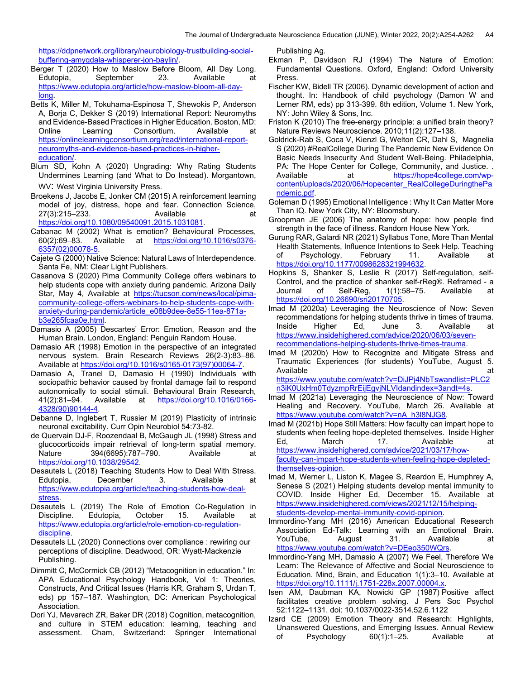https://ddpnetwork.org/library/neurobiology-trustbuilding-socialbuffering-amygdala-whisperer-jon-baylin/.

- Berger T (2020) How to Maslow Before Bloom, All Day Long. Edutopia, September 23. Available at https://www.edutopia.org/article/how-maslow-bloom-all-daylong.
- Betts K, Miller M, Tokuhama-Espinosa T, Shewokis P, Anderson A, Borja C, Dekker S (2019) International Report: Neuromyths and Evidence-Based Practices in Higher Education. Boston, MD: Online Learning Consortium. Available at https://onlinelearningconsortium.org/read/international-reportneuromyths-and-evidence-based-practices-in-highereducation/.
- Blum SD, Kohn A (2020) Ungrading: Why Rating Students Undermines Learning (and What to Do Instead). Morgantown, WV: West Virginia University Press.
- Broekens J, Jacobs E, Jonker CM (2015) A reinforcement learning model of joy, distress, hope and fear. Connection Science, 27(3):215–233. Available at https://doi.org/10.1080/09540091.2015.1031081.
- Cabanac M (2002) What is emotion? Behavioural Processes, 60(2):69–83. Available at https://doi.org/10.1016/s0376- 6357(02)00078-5.
- Cajete G (2000) Native Science: Natural Laws of Interdependence. Santa Fe, NM: Clear Light Publishers.
- Casanova S (2020) Pima Community College offers webinars to help students cope with anxiety during pandemic. Arizona Daily Star, May 4, Available at https://tucson.com/news/local/pimacommunity-college-offers-webinars-to-help-students-cope-withanxiety-during-pandemic/article\_e08b9dee-8e55-11ea-871ab3e265fcaa0e.html.
- Damasio A (2005) Descartes' Error: Emotion, Reason and the Human Brain. London, England: Penguin Random House.
- Damasio AR (1998) Emotion in the perspective of an integrated nervous system. Brain Research Reviews 26(2-3):83–86. Available at https://doi.org/10.1016/s0165-0173(97)00064-7.
- Damasio A, Tranel D, Damasio H (1990) Individuals with sociopathic behavior caused by frontal damage fail to respond autonomically to social stimuli. Behavioural Brain Research, 41(2):81–94. Available at https://doi.org/10.1016/0166- 4328(90)90144-4.
- Debanne D, Inglebert T, Russier M (2019) Plasticity of intrinsic neuronal excitability. Curr Opin Neurobiol 54:73-82.
- de Quervain DJ-F, Roozendaal B, McGaugh JL (1998) Stress and glucocorticoids impair retrieval of long-term spatial memory.<br>Nature 394(6695):787–790. Available at Nature 394(6695):787–790. Available at https://doi.org/10.1038/29542.
- Desautels L (2018) Teaching Students How to Deal With Stress. Edutopia, December 3. Available at https://www.edutopia.org/article/teaching-students-how-dealstress.
- Desautels L (2019) The Role of Emotion Co-Regulation in Discipline. Edutopia, October 15. Available at https://www.edutopia.org/article/role-emotion-co-regulationdiscipline.
- Desautels LL (2020) Connections over compliance : rewiring our perceptions of discipline. Deadwood, OR: Wyatt-Mackenzie Publishing.
- Dimmitt C, McCormick CB (2012) "Metacognition in education." In: APA Educational Psychology Handbook, Vol 1: Theories, Constructs, And Critical Issues (Harris KR, Graham S, Urdan T, eds) pp 157–187. Washington, DC: American Psychological Association.
- Dori YJ, Mevarech ZR, Baker DR (2018) Cognition, metacognition, and culture in STEM education: learning, teaching and assessment. Cham, Switzerland: Springer International

Publishing Ag.

- Ekman P, Davidson RJ (1994) The Nature of Emotion: Fundamental Questions. Oxford, England: Oxford University Press.
- Fischer KW, Bidell TR (2006). Dynamic development of action and thought. In: Handbook of child psychology (Damon W and Lerner RM, eds) pp 313-399. 6th edition, Volume 1. New York, NY: John Wiley & Sons, Inc.
- Friston K (2010) The free-energy principle: a unified brain theory? Nature Reviews Neuroscience. 2010;11(2):127–138.
- Goldrick-Rab S, Coca V, Kienzl G, Welton CR, Dahl S, Magnelia S (2020) #RealCollege During The Pandemic New Evidence On Basic Needs Insecurity And Student Well-Being. Philadelphia, PA: The Hope Center for College, Community, and Justice. . Available at https://hope4college.com/wpcontent/uploads/2020/06/Hopecenter\_RealCollegeDuringthePa ndemic.pdf.
- Goleman D (1995) Emotional Intelligence : Why It Can Matter More Than IQ. New York City, NY: Bloomsbury.
- Groopman JE (2006) The anatomy of hope: how people find strength in the face of illness. Random House New York.
- Gurung RAR, Galardi NR (2021) Syllabus Tone, More Than Mental Health Statements, Influence Intentions to Seek Help. Teaching of Psychology, February 11. Available at https://doi.org/10.1177/0098628321994632.
- Hopkins S, Shanker S, Leslie R (2017) Self-regulation, self-Control, and the practice of shanker self-rReg®. Reframed - a Journal of Self-Reg, 1(1):58–75. Available at https://doi.org/10.26690/sri20170705.
- Imad M (2020a) Leveraging the Neuroscience of Now: Seven recommendations for helping students thrive in times of trauma. Inside Higher Ed, June 3. Available at https://www.insidehighered.com/advice/2020/06/03/sevenrecommendations-helping-students-thrive-times-trauma.
- Imad M (2020b) How to Recognize and Mitigate Stress and Traumatic Experiences (for students) YouTube, August 5. Available at the state of the state at  $\alpha$ https://www.youtube.com/watch?v=DiJPj4NbTswandlist=PLC2 n3iK0UxHm0TdyzmpRrEijEgvjNLVIdandindex=3andt=4s.
- Imad M (2021a) Leveraging the Neuroscience of Now: Toward Healing and Recovery. YouTube, March 26. Available at https://www.youtube.com/watch?v=nA\_h3l8NJG8
- Imad M (2021b) Hope Still Matters: How faculty can impart hope to students when feeling hope-depleted themselves. Inside Higher Ed, March 17. Available at https://www.insidehighered.com/advice/2021/03/17/howfaculty-can-impart-hope-students-when-feeling-hope-depletedthemselves-opinion.
- Imad M, Werner L, Liston K, Magee S, Reardon E, Humphrey A, Senese S (2021) Helping students develop mental immunity to COVID. Inside Higher Ed, December 15. Available at https://www.insidehighered.com/views/2021/12/15/helpingstudents-develop-mental-immunity-covid-opinion.
- Immordino-Yang MH (2016) American Educational Research Association Ed-Talk: Learning with an Emotional Brain. YouTube, August 31. Available at https://www.youtube.com/watch?v=DEeo350WQrs.
- Immordino-Yang MH, Damasio A (2007) We Feel, Therefore We Learn: The Relevance of Affective and Social Neuroscience to Education. Mind, Brain, and Education 1(1):3–10. Available at https://doi.org/10.1111/j.1751-228x.2007.00004.x.
- Isen AM, Daubman KA, Nowicki GP (1987) Positive affect facilitates creative problem solving. J Pers Soc Psychol 52:1122–1131. doi: 10.1037/0022-3514.52.6.1122
- Izard CE (2009) Emotion Theory and Research: Highlights, Unanswered Questions, and Emerging Issues. Annual Review of Psychology 60(1):1–25. Available at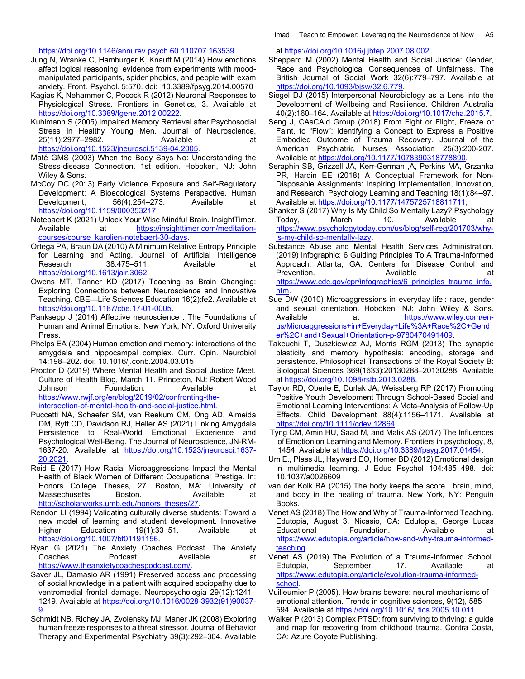- Jung N, Wranke C, Hamburger K, Knauff M (2014) How emotions affect logical reasoning: evidence from experiments with moodmanipulated participants, spider phobics, and people with exam anxiety. Front. Psychol. 5:570. doi: 10.3389/fpsyg.2014.00570
- Kagias K, Nehammer C, Pocock R (2012) Neuronal Responses to Physiological Stress. Frontiers in Genetics, 3. Available at https://doi.org/10.3389/fgene.2012.00222.
- Kuhlmann S (2005) Impaired Memory Retrieval after Psychosocial Stress in Healthy Young Men. Journal of Neuroscience, 25(11):2977–2982. Available at

https://doi.org/10.1523/jneurosci.5139-04.2005.

- Maté GMS (2003) When the Body Says No: Understanding the Stress-disease Connection. 1st edition. Hoboken, NJ: John Wiley & Sons.
- McCoy DC (2013) Early Violence Exposure and Self-Regulatory Development: A Bioecological Systems Perspective. Human Development, 56(4):254–273. Available at https://doi.org/10.1159/000353217.
- Notebaert K (2021) Unlock Your Wise Mindful Brain. InsightTimer. Available at https://insighttimer.com/meditationcourses/course\_karolien-notebaert-30-days.
- Ortega PA, Braun DA (2010) A Minimum Relative Entropy Principle for Learning and Acting. Journal of Artificial Intelligence Research 38:475–511. Available at https://doi.org/10.1613/jair.3062.
- Owens MT, Tanner KD (2017) Teaching as Brain Changing: Exploring Connections between Neuroscience and Innovative Teaching. CBE—Life Sciences Education 16(2):fe2. Available at https://doi.org/10.1187/cbe.17-01-0005.
- Panksepp J (2014) Affective neuroscience : The Foundations of Human and Animal Emotions. New York, NY: Oxford University Press.
- Phelps EA (2004) Human emotion and memory: interactions of the amygdala and hippocampal complex. Curr. Opin. Neurobiol 14:198–202. doi: 10.1016/j.conb.2004.03.015
- Proctor D (2019) Where Mental Health and Social Justice Meet. Culture of Health Blog, March 11. Princeton, NJ: Robert Wood Johnson Foundation. Available at https://www.rwjf.org/en/blog/2019/02/confronting-theintersection-of-mental-health-and-social-justice.html.
- Puccetti NA, Schaefer SM, van Reekum CM, Ong AD, Almeida DM, Ryff CD, Davidson RJ, Heller AS (2021) Linking Amygdala Persistence to Real-World Emotional Experience and Psychological Well-Being. The Journal of Neuroscience, JN-RM-1637-20. Available at https://doi.org/10.1523/jneurosci.1637- 20.2021.
- Reid E (2017) How Racial Microaggressions Impact the Mental Health of Black Women of Different Occupational Prestige. In: Honors College Theses, 27. Boston, MA: University of Massechusetts Boston. Available at http://scholarworks.umb.edu/honors\_theses/27.
- Rendon LI (1994) Validating culturally diverse students: Toward a new model of learning and student development. Innovative Higher Education 19(1):33–51. Available at https://doi.org/10.1007/bf01191156.
- Ryan G (2021) The Anxiety Coaches Podcast. The Anxiety Coaches **Podcast.** Available at https://www.theanxietycoachespodcast.com/.
- Saver JL, Damasio AR (1991) Preserved access and processing of social knowledge in a patient with acquired sociopathy due to ventromedial frontal damage. Neuropsychologia 29(12):1241– 1249. Available at https://doi.org/10.1016/0028-3932(91)90037- 9.
- Schmidt NB, Richey JA, Zvolensky MJ, Maner JK (2008) Exploring human freeze responses to a threat stressor. Journal of Behavior Therapy and Experimental Psychiatry 39(3):292–304. Available

at https://doi.org/10.1016/j.jbtep.2007.08.002.

- Sheppard M (2002) Mental Health and Social Justice: Gender, Race and Psychological Consequences of Unfairness. The British Journal of Social Work 32(6):779–797. Available at https://doi.org/10.1093/bjsw/32.6.779.
- Siegel DJ (2015) Interpersonal Neurobiology as a Lens into the Development of Wellbeing and Resilience. Children Australia 40(2):160–164. Available at https://doi.org/10.1017/cha.2015.7.
- Seng J, CAsCAid Group (2018) From Fight or Flight, Freeze or Faint, to "Flow": Identifying a Concept to Express a Positive Embodied Outcome of Trauma Recovery. Journal of the American Psychiatric Nurses Association 25(3):200-207. Available at https://doi.org/10.1177/1078390318778890.
- Seraphin SB, Grizzell JA, Kerr-German ,A, Perkins MA, Grzanka PR, Hardin EE (2018) A Conceptual Framework for Non-Disposable Assignments: Inspiring Implementation, Innovation, and Research. Psychology Learning and Teaching 18(1):84–97. Available at https://doi.org/10.1177/1475725718811711,
- Shanker S (2017) Why Is My Child So Mentally Lazy? Psychology Today, March 10. Available at https://www.psychologytoday.com/us/blog/self-reg/201703/whyis-my-child-so-mentally-lazy.
- Substance Abuse and Mental Health Services Administration. (2019) Infographic: 6 Guiding Principles To A Trauma-Informed Approach. Atlanta, GA: Centers for Disease Control and Prevention. **Available at the set of the set of the set of the set of the set of the set of the set of the set of the set of the set of the set of the set of the set of the set of the set of the set of the set of the set** https://www.cdc.gov/cpr/infographics/6 principles trauma info. htm.
- Sue DW (2010) Microaggressions in everyday life : race, gender and sexual orientation. Hoboken, NJ: John Wiley & Sons. Available at https://www.wiley.com/enus/Microaggressions+in+Everyday+Life%3A+Race%2C+Gend er%2C+and+Sexual+Orientation-p-9780470491409.
- Takeuchi T, Duszkiewicz AJ, Morris RGM (2013) The synaptic plasticity and memory hypothesis: encoding, storage and persistence. Philosophical Transactions of the Royal Society B: Biological Sciences 369(1633):20130288–20130288. Available at https://doi.org/10.1098/rstb.2013.0288.
- Taylor RD, Oberle E, Durlak JA, Weissberg RP (2017) Promoting Positive Youth Development Through School-Based Social and Emotional Learning Interventions: A Meta-Analysis of Follow-Up Effects. Child Development 88(4):1156–1171. Available at https://doi.org/10.1111/cdev.12864.
- Tyng CM, Amin HU, Saad M, and Malik AS (2017) The Influences of Emotion on Learning and Memory. Frontiers in psychology, 8, 1454. Available at https://doi.org/10.3389/fpsyg.2017.01454.
- Um E., Plass JL, Hayward EO, Homer BD (2012) Emotional design in multimedia learning. J Educ Psychol 104:485–498. doi: 10.1037/a0026609
- van der Kolk BA (2015) The body keeps the score : brain, mind, and body in the healing of trauma. New York, NY: Penguin Books.
- Venet AS (2018) The How and Why of Trauma-Informed Teaching. Edutopia, August 3. Nicasio, CA: Edutopia, George Lucas Educational Foundation. Available at https://www.edutopia.org/article/how-and-why-trauma-informedteaching.
- Venet AS (2019) The Evolution of a Trauma-Informed School. Edutopia, September 17. Available at https://www.edutopia.org/article/evolution-trauma-informedschool.
- Vuilleumier P (2005). How brains beware: neural mechanisms of emotional attention. Trends in cognitive sciences, 9(12), 585– 594. Available at https://doi.org/10.1016/j.tics.2005.10.011.
- Walker P (2013) Complex PTSD: from surviving to thriving: a guide and map for recovering from childhood trauma. Contra Costa, CA: Azure Coyote Publishing.